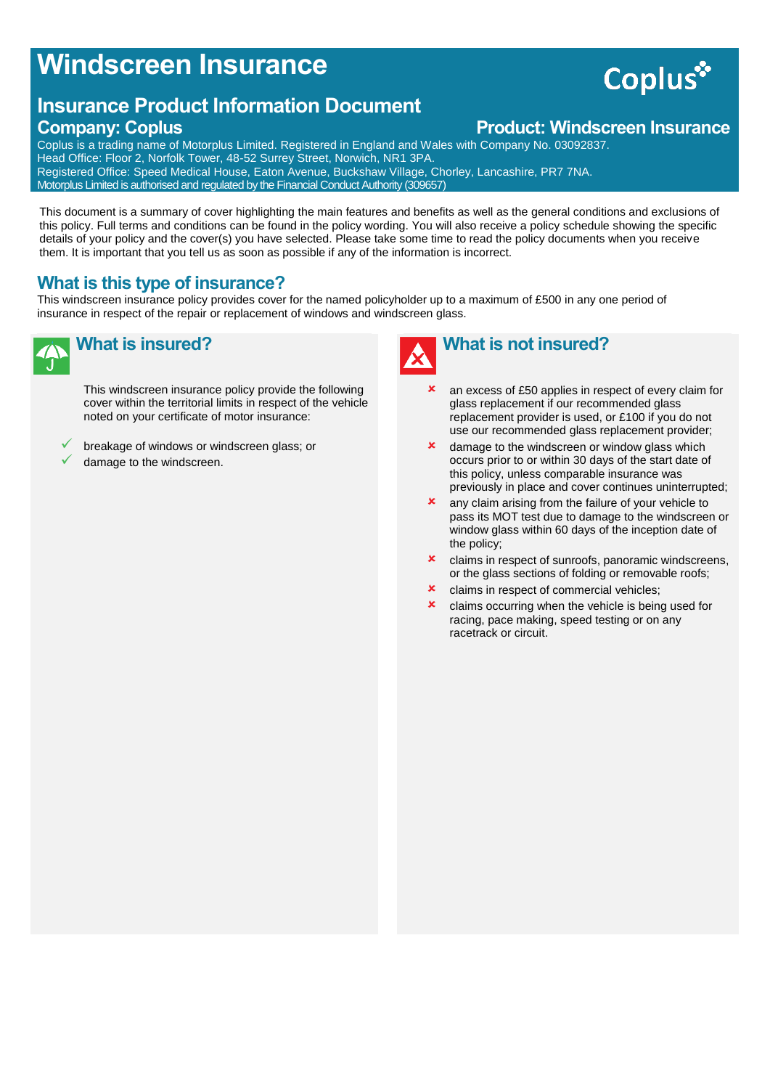## **Windscreen Insurance**

### **Insurance Product Information Document**

#### **Company: Coplus Company: Coplus Product: Windscreen Insurance**

Coplus is a trading name of Motorplus Limited. Registered in England and Wales with Company No. 03092837. Head Office: Floor 2, Norfolk Tower, 48-52 Surrey Street, Norwich, NR1 3PA. Registered Office: Speed Medical House, Eaton Avenue, Buckshaw Village, Chorley, Lancashire, PR7 7NA. Motorplus Limited is authorised and regulated by the Financial Conduct Authority (309657)

This document is a summary of cover highlighting the main features and benefits as well as the general conditions and exclusions of this policy. Full terms and conditions can be found in the policy wording. You will also receive a policy schedule showing the specific details of your policy and the cover(s) you have selected. Please take some time to read the policy documents when you receive them. It is important that you tell us as soon as possible if any of the information is incorrect.

#### **What is this type of insurance?**

This windscreen insurance policy provides cover for the named policyholder up to a maximum of £500 in any one period of insurance in respect of the repair or replacement of windows and windscreen glass.

## **What is insured?**

This windscreen insurance policy provide the following cover within the territorial limits in respect of the vehicle noted on your certificate of motor insurance:

 breakage of windows or windscreen glass; or damage to the windscreen.

- an excess of £50 applies in respect of every claim for glass replacement if our recommended glass replacement provider is used, or £100 if you do not
- use our recommended glass replacement provider; **x** damage to the windscreen or window glass which occurs prior to or within 30 days of the start date of this policy, unless comparable insurance was previously in place and cover continues uninterrupted;
- **x** any claim arising from the failure of your vehicle to pass its MOT test due to damage to the windscreen or window glass within 60 days of the inception date of the policy;
- claims in respect of sunroofs, panoramic windscreens, or the glass sections of folding or removable roofs;
- claims in respect of commercial vehicles;
- **x** claims occurring when the vehicle is being used for racing, pace making, speed testing or on any racetrack or circuit.



# Coplus\*